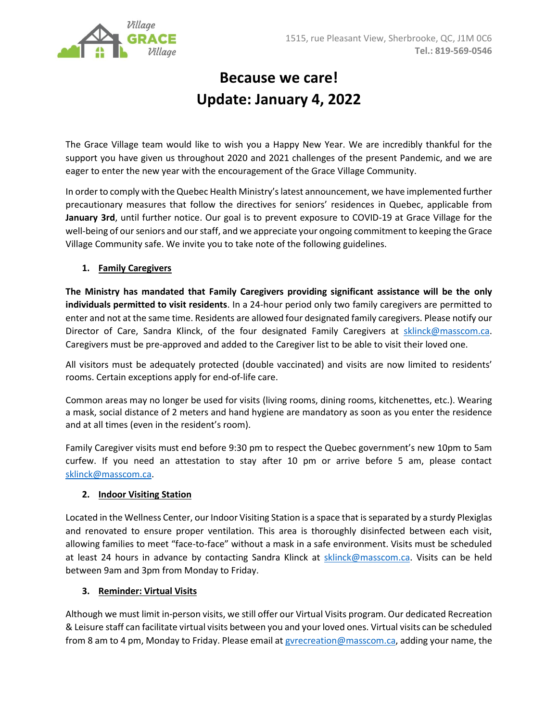

## **Because we care! Update: January 4, 2022**

The Grace Village team would like to wish you a Happy New Year. We are incredibly thankful for the support you have given us throughout 2020 and 2021 challenges of the present Pandemic, and we are eager to enter the new year with the encouragement of the Grace Village Community.

In order to comply with the Quebec Health Ministry's latest announcement, we have implemented further precautionary measures that follow the directives for seniors' residences in Quebec, applicable from **January 3rd**, until further notice. Our goal is to prevent exposure to COVID-19 at Grace Village for the well-being of our seniors and our staff, and we appreciate your ongoing commitment to keeping the Grace Village Community safe. We invite you to take note of the following guidelines.

## **1. Family Caregivers**

**The Ministry has mandated that Family Caregivers providing significant assistance will be the only individuals permitted to visit residents**. In a 24-hour period only two family caregivers are permitted to enter and not at the same time. Residents are allowed four designated family caregivers. Please notify our Director of Care, Sandra Klinck, of the four designated Family Caregivers at [sklinck@masscom.ca.](mailto:sklinck@masscom.ca) Caregivers must be pre-approved and added to the Caregiver list to be able to visit their loved one.

All visitors must be adequately protected (double vaccinated) and visits are now limited to residents' rooms. Certain exceptions apply for end-of-life care.

Common areas may no longer be used for visits (living rooms, dining rooms, kitchenettes, etc.). Wearing a mask, social distance of 2 meters and hand hygiene are mandatory as soon as you enter the residence and at all times (even in the resident's room).

Family Caregiver visits must end before 9:30 pm to respect the Quebec government's new 10pm to 5am curfew. If you need an attestation to stay after 10 pm or arrive before 5 am, please contact [sklinck@masscom.ca.](mailto:sklinck@masscom.ca)

## **2. Indoor Visiting Station**

Located in the Wellness Center, our Indoor Visiting Station is a space that is separated by a sturdy Plexiglas and renovated to ensure proper ventilation. This area is thoroughly disinfected between each visit, allowing families to meet "face-to-face" without a mask in a safe environment. Visits must be scheduled at least 24 hours in advance by contacting Sandra Klinck at [sklinck@masscom.ca.](mailto:sklinck@masscom.ca) Visits can be held between 9am and 3pm from Monday to Friday.

## **3. Reminder: Virtual Visits**

Although we must limit in-person visits, we still offer our Virtual Visits program. Our dedicated Recreation & Leisure staff can facilitate virtual visits between you and your loved ones. Virtual visits can be scheduled from 8 am to 4 pm, Monday to Friday. Please email at gyrecreation@masscom.ca, adding your name, the